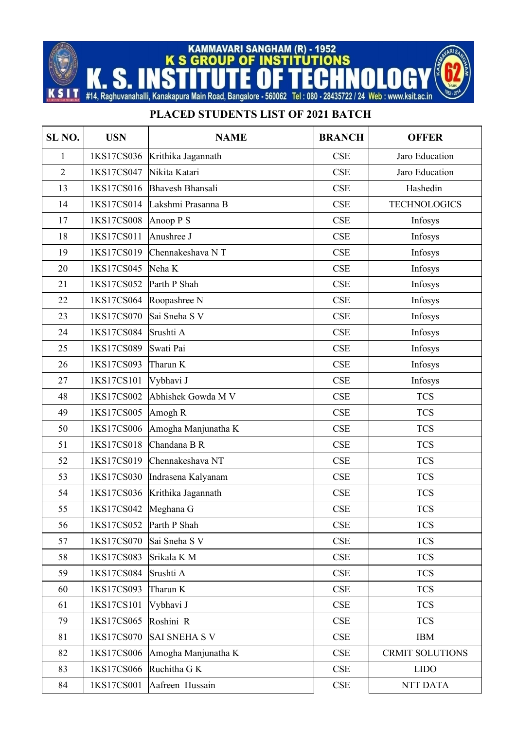KAMMAVARI SANGHAM (R) - 1952<br>K S GROUP OF INSTITUTIONS

K

H т S

S N

Ī #14, Raghuvanahalli, Kanakapura Main Road, Bangalore - 560062 Tel: 080 - 28435722 / 24 Web: www.ksit.ac.in

## **PLACED STUDENTS LIST OF 2021 BATCH**

| SL <sub>NO.</sub> | <b>USN</b> | <b>NAME</b>             | <b>BRANCH</b>               | <b>OFFER</b>           |
|-------------------|------------|-------------------------|-----------------------------|------------------------|
| 1                 | 1KS17CS036 | Krithika Jagannath      | CSE                         | Jaro Education         |
| $\overline{2}$    | 1KS17CS047 | Nikita Katari           | <b>CSE</b>                  | Jaro Education         |
| 13                | 1KS17CS016 | <b>Bhavesh Bhansali</b> | CSE                         | Hashedin               |
| 14                | 1KS17CS014 | Lakshmi Prasanna B      | CSE                         | <b>TECHNOLOGICS</b>    |
| 17                | 1KS17CS008 | Anoop $P S$             | CSE                         | Infosys                |
| 18                | 1KS17CS011 | Anushree J              | <b>CSE</b>                  | Infosys                |
| 19                | 1KS17CS019 | Chennakeshava NT        | CSE                         | Infosys                |
| 20                | 1KS17CS045 | Neha K                  | CSE                         | Infosys                |
| 21                | 1KS17CS052 | Parth P Shah            | <b>CSE</b>                  | Infosys                |
| 22                | 1KS17CS064 | Roopashree N            | CSE                         | Infosys                |
| 23                | 1KS17CS070 | Sai Sneha S V           | CSE                         | Infosys                |
| 24                | 1KS17CS084 | Srushti A               | CSE                         | Infosys                |
| 25                | 1KS17CS089 | Swati Pai               | CSE                         | Infosys                |
| 26                | 1KS17CS093 | Tharun K                | CSE                         | Infosys                |
| 27                | 1KS17CS101 | Vybhavi J               | CSE                         | Infosys                |
| 48                | 1KS17CS002 | Abhishek Gowda M V      | CSE                         | <b>TCS</b>             |
| 49                | 1KS17CS005 | Amogh R                 | CSE                         | <b>TCS</b>             |
| 50                | 1KS17CS006 | Amogha Manjunatha K     | <b>CSE</b>                  | <b>TCS</b>             |
| 51                | 1KS17CS018 | Chandana B R            | CSE                         | <b>TCS</b>             |
| 52                | 1KS17CS019 | Chennakeshava NT        | <b>CSE</b>                  | <b>TCS</b>             |
| 53                | 1KS17CS030 | Indrasena Kalyanam      | CSE                         | <b>TCS</b>             |
| 54                | 1KS17CS036 | Krithika Jagannath      | <b>CSE</b>                  | <b>TCS</b>             |
| 55                | 1KS17CS042 | Meghana G               | <b>CSE</b>                  | <b>TCS</b>             |
| 56                | 1KS17CS052 | Parth P Shah            | CSE                         | <b>TCS</b>             |
| 57                | 1KS17CS070 | Sai Sneha S V           | <b>CSE</b>                  | <b>TCS</b>             |
| 58                | 1KS17CS083 | Srikala K M             | CSE                         | <b>TCS</b>             |
| 59                | 1KS17CS084 | Srushti A               | CSE                         | <b>TCS</b>             |
| 60                | 1KS17CS093 | Tharun K                | <b>CSE</b>                  | <b>TCS</b>             |
| 61                | 1KS17CS101 | Vybhavi J               | CSE                         | <b>TCS</b>             |
| 79                | 1KS17CS065 | Roshini R               | CSE                         | <b>TCS</b>             |
| 81                | 1KS17CS070 | <b>SAI SNEHA S V</b>    | <b>CSE</b>                  | <b>IBM</b>             |
| 82                | 1KS17CS006 | Amogha Manjunatha K     | CSE                         | <b>CRMIT SOLUTIONS</b> |
| 83                | 1KS17CS066 | Ruchitha G K            | $\ensuremath{\mathsf{CSE}}$ | <b>LIDO</b>            |
| 84                | 1KS17CS001 | Aafreen Hussain         | $\ensuremath{\mathsf{CSE}}$ | NTT DATA               |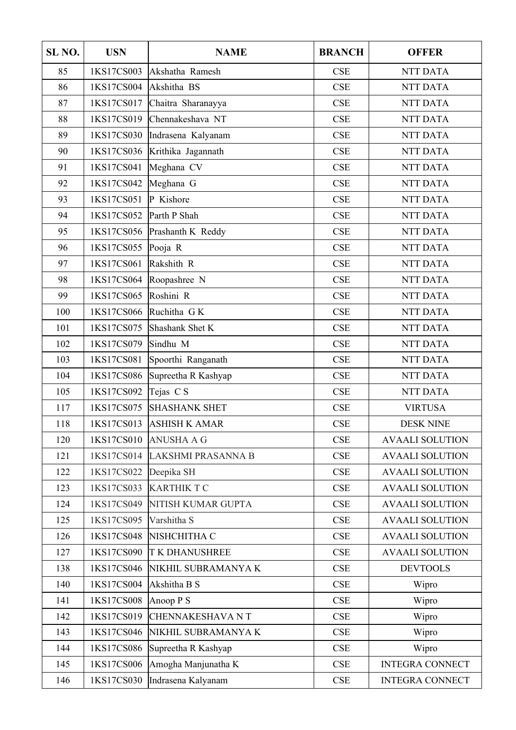| SL <sub>NO.</sub> | <b>USN</b> | <b>NAME</b>             | <b>BRANCH</b> | <b>OFFER</b>           |
|-------------------|------------|-------------------------|---------------|------------------------|
| 85                | 1KS17CS003 | Akshatha Ramesh         | CSE           | <b>NTT DATA</b>        |
| 86                | 1KS17CS004 | Akshitha BS             | <b>CSE</b>    | <b>NTT DATA</b>        |
| 87                | 1KS17CS017 | Chaitra Sharanayya      | CSE           | <b>NTT DATA</b>        |
| 88                | 1KS17CS019 | Chennakeshava NT        | CSE           | <b>NTT DATA</b>        |
| 89                | 1KS17CS030 | Indrasena Kalyanam      | CSE           | <b>NTT DATA</b>        |
| 90                | 1KS17CS036 | Krithika Jagannath      | <b>CSE</b>    | <b>NTT DATA</b>        |
| 91                | 1KS17CS041 | Meghana CV              | CSE           | NTT DATA               |
| 92                | 1KS17CS042 | Meghana G               | CSE           | NTT DATA               |
| 93                | 1KS17CS051 | P Kishore               | CSE           | <b>NTT DATA</b>        |
| 94                | 1KS17CS052 | Parth P Shah            | CSE           | <b>NTT DATA</b>        |
| 95                | 1KS17CS056 | Prashanth K Reddy       | CSE           | <b>NTT DATA</b>        |
| 96                | 1KS17CS055 | Pooja R                 | CSE           | <b>NTT DATA</b>        |
| 97                | 1KS17CS061 | Rakshith R              | CSE           | <b>NTT DATA</b>        |
| 98                | 1KS17CS064 | Roopashree N            | CSE           | <b>NTT DATA</b>        |
| 99                | 1KS17CS065 | Roshini R               | CSE           | <b>NTT DATA</b>        |
| 100               | 1KS17CS066 | Ruchitha GK             | CSE           | <b>NTT DATA</b>        |
| 101               | 1KS17CS075 | Shashank Shet K         | CSE           | <b>NTT DATA</b>        |
| 102               | 1KS17CS079 | Sindhu M                | <b>CSE</b>    | <b>NTT DATA</b>        |
| 103               | 1KS17CS081 | Spoorthi Ranganath      | CSE           | <b>NTT DATA</b>        |
| 104               | 1KS17CS086 | Supreetha R Kashyap     | CSE           | <b>NTT DATA</b>        |
| 105               | 1KS17CS092 | Tejas CS                | CSE           | NTT DATA               |
| 117               | 1KS17CS075 | <b>SHASHANK SHET</b>    | CSE           | <b>VIRTUSA</b>         |
| 118               | 1KS17CS013 | ASHISH K AMAR           | CSE           | <b>DESK NINE</b>       |
| 120               | 1KS17CS010 | <b>ANUSHA A G</b>       | CSE           | <b>AVAALI SOLUTION</b> |
| 121               | 1KS17CS014 | LAKSHMI PRASANNA B      | CSE           | <b>AVAALI SOLUTION</b> |
| 122               | 1KS17CS022 | Deepika SH              | CSE           | <b>AVAALI SOLUTION</b> |
| 123               | 1KS17CS033 | <b>KARTHIK T C</b>      | CSE           | <b>AVAALI SOLUTION</b> |
| 124               | 1KS17CS049 | NITISH KUMAR GUPTA      | <b>CSE</b>    | <b>AVAALI SOLUTION</b> |
| 125               | 1KS17CS095 | Varshitha S             | CSE           | <b>AVAALI SOLUTION</b> |
| 126               | 1KS17CS048 | NISHCHITHA C            | <b>CSE</b>    | <b>AVAALI SOLUTION</b> |
| 127               | 1KS17CS090 | <b>TK DHANUSHREE</b>    | CSE           | <b>AVAALI SOLUTION</b> |
| 138               | 1KS17CS046 | NIKHIL SUBRAMANYA K     | CSE           | <b>DEVTOOLS</b>        |
| 140               | 1KS17CS004 | Akshitha B S            | CSE           | Wipro                  |
| 141               | 1KS17CS008 | Anoop P S               | CSE           | Wipro                  |
| 142               | 1KS17CS019 | <b>CHENNAKESHAVA NT</b> | CSE           | Wipro                  |
| 143               | 1KS17CS046 | NIKHIL SUBRAMANYA K     | CSE           | Wipro                  |
| 144               | 1KS17CS086 | Supreetha R Kashyap     | <b>CSE</b>    | Wipro                  |
| 145               | 1KS17CS006 | Amogha Manjunatha K     | CSE           | <b>INTEGRA CONNECT</b> |
| 146               | 1KS17CS030 | Indrasena Kalyanam      | CSE           | <b>INTEGRA CONNECT</b> |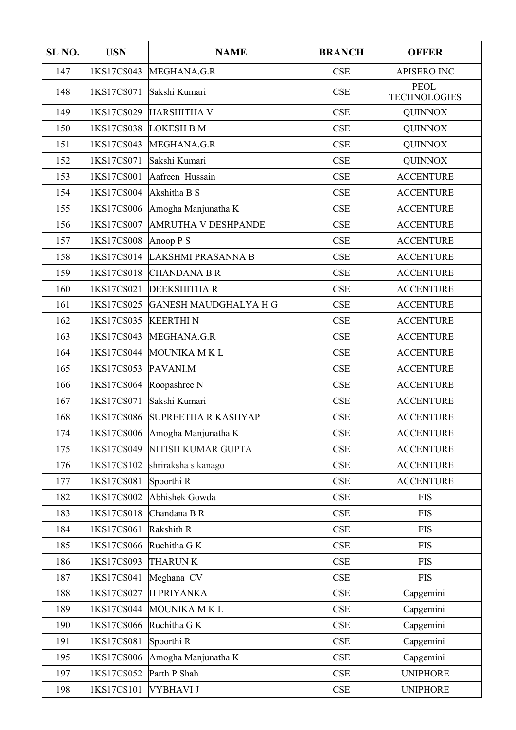| SL <sub>NO</sub> . | <b>USN</b> | <b>NAME</b>                    | <b>BRANCH</b>               | <b>OFFER</b>                       |
|--------------------|------------|--------------------------------|-----------------------------|------------------------------------|
| 147                | 1KS17CS043 | MEGHANA.G.R                    | <b>CSE</b>                  | <b>APISERO INC</b>                 |
| 148                | 1KS17CS071 | Sakshi Kumari                  | <b>CSE</b>                  | <b>PEOL</b><br><b>TECHNOLOGIES</b> |
| 149                | 1KS17CS029 | HARSHITHA V                    | CSE                         |                                    |
| 150                | 1KS17CS038 | <b>LOKESH B M</b>              | CSE                         | <b>QUINNOX</b>                     |
| 151                | 1KS17CS043 | MEGHANA.G.R                    | <b>CSE</b>                  | <b>QUINNOX</b>                     |
| 152                | 1KS17CS071 | Sakshi Kumari                  | <b>CSE</b>                  | <b>QUINNOX</b>                     |
| 153                | 1KS17CS001 | Aafreen Hussain                | CSE                         | <b>ACCENTURE</b>                   |
| 154                | 1KS17CS004 | Akshitha B S                   | CSE                         | <b>ACCENTURE</b>                   |
| 155                | 1KS17CS006 | Amogha Manjunatha K            | <b>CSE</b>                  | <b>ACCENTURE</b>                   |
| 156                | 1KS17CS007 | <b>AMRUTHA V DESHPANDE</b>     | CSE                         | <b>ACCENTURE</b>                   |
| 157                | 1KS17CS008 | Anoop $P S$                    | <b>CSE</b>                  | <b>ACCENTURE</b>                   |
| 158                | 1KS17CS014 | LAKSHMI PRASANNA B             | <b>CSE</b>                  | <b>ACCENTURE</b>                   |
| 159                | 1KS17CS018 | <b>CHANDANA B R</b>            | CSE                         | <b>ACCENTURE</b>                   |
| 160                | 1KS17CS021 | <b>DEEKSHITHA R</b>            | CSE                         | <b>ACCENTURE</b>                   |
| 161                | 1KS17CS025 | GANESH MAUDGHALYA H G          | <b>CSE</b>                  | <b>ACCENTURE</b>                   |
| 162                | 1KS17CS035 | <b>KEERTHIN</b>                | CSE                         | <b>ACCENTURE</b>                   |
| 163                | 1KS17CS043 | MEGHANA.G.R                    | CSE                         | <b>ACCENTURE</b>                   |
| 164                | 1KS17CS044 | MOUNIKA M K L                  | <b>CSE</b>                  | <b>ACCENTURE</b>                   |
| 165                | 1KS17CS053 | PAVANI.M                       | <b>CSE</b>                  | <b>ACCENTURE</b>                   |
| 166                | 1KS17CS064 | Roopashree N                   | <b>CSE</b>                  | <b>ACCENTURE</b>                   |
| 167                | 1KS17CS071 | Sakshi Kumari                  | <b>CSE</b>                  | <b>ACCENTURE</b>                   |
| 168                | 1KS17CS086 | <b>SUPREETHA R KASHYAP</b>     | CSE                         | <b>ACCENTURE</b>                   |
| 174                |            | 1KS17CS006 Amogha Manjunatha K | <b>CSE</b>                  | <b>ACCENTURE</b>                   |
| 175                | 1KS17CS049 | NITISH KUMAR GUPTA             | CSE                         | <b>ACCENTURE</b>                   |
| 176                | 1KS17CS102 | shriraksha s kanago            | CSE                         | <b>ACCENTURE</b>                   |
| 177                | 1KS17CS081 | Spoorthi R                     | CSE                         | <b>ACCENTURE</b>                   |
| 182                | 1KS17CS002 | Abhishek Gowda                 | CSE                         | <b>FIS</b>                         |
| 183                | 1KS17CS018 | Chandana B R                   | CSE                         | <b>FIS</b>                         |
| 184                | 1KS17CS061 | Rakshith R                     | CSE                         | <b>FIS</b>                         |
| 185                | 1KS17CS066 | Ruchitha G K                   | <b>CSE</b>                  | <b>FIS</b>                         |
| 186                | 1KS17CS093 | <b>THARUNK</b>                 | CSE                         | <b>FIS</b>                         |
| 187                | 1KS17CS041 | Meghana CV                     | CSE                         | <b>FIS</b>                         |
| 188                | 1KS17CS027 | <b>H PRIYANKA</b>              | CSE                         | Capgemini                          |
| 189                | 1KS17CS044 | MOUNIKA M K L                  | CSE                         | Capgemini                          |
| 190                | 1KS17CS066 | Ruchitha G K                   | CSE                         | Capgemini                          |
| 191                | 1KS17CS081 | Spoorthi R                     | CSE                         | Capgemini                          |
| 195                | 1KS17CS006 | Amogha Manjunatha K            | $\ensuremath{\mathsf{CSE}}$ | Capgemini                          |
| 197                | 1KS17CS052 | Parth P Shah                   | CSE                         | <b>UNIPHORE</b>                    |
| 198                | 1KS17CS101 | VYBHAVI J                      | CSE                         | <b>UNIPHORE</b>                    |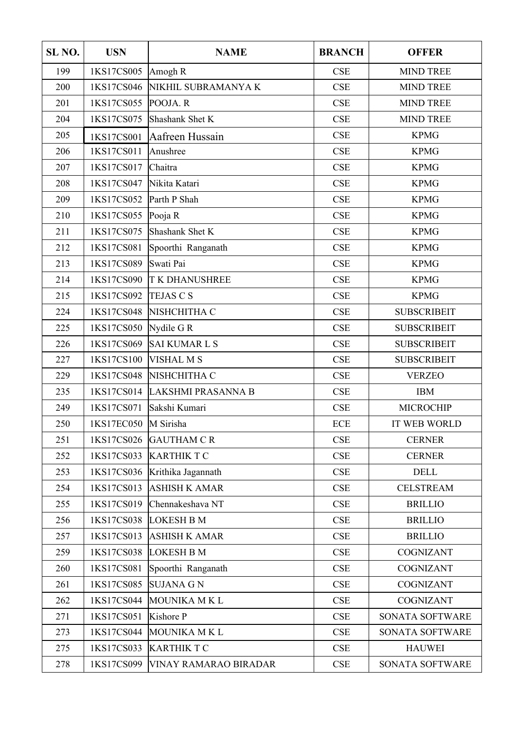| SL <sub>NO.</sub> | <b>USN</b> | <b>NAME</b>           | <b>BRANCH</b>           | <b>OFFER</b>        |  |
|-------------------|------------|-----------------------|-------------------------|---------------------|--|
| 199               | 1KS17CS005 | Amogh R               | <b>MIND TREE</b><br>CSE |                     |  |
| 200               | 1KS17CS046 | NIKHIL SUBRAMANYA K   | <b>CSE</b>              |                     |  |
| 201               | 1KS17CS055 | POOJA.R               | CSE                     | <b>MIND TREE</b>    |  |
| 204               | 1KS17CS075 | Shashank Shet K       | CSE                     | <b>MIND TREE</b>    |  |
| 205               | 1KS17CS001 | Aafreen Hussain       | CSE                     | <b>KPMG</b>         |  |
| 206               | 1KS17CS011 | Anushree              | CSE                     | <b>KPMG</b>         |  |
| 207               | 1KS17CS017 | Chaitra               | CSE                     | <b>KPMG</b>         |  |
| 208               | 1KS17CS047 | Nikita Katari         | CSE                     | <b>KPMG</b>         |  |
| 209               | 1KS17CS052 | Parth P Shah          | CSE                     | <b>KPMG</b>         |  |
| 210               | 1KS17CS055 | Pooja R               | CSE                     | <b>KPMG</b>         |  |
| 211               | 1KS17CS075 | Shashank Shet K       | CSE                     | <b>KPMG</b>         |  |
| 212               | 1KS17CS081 | Spoorthi Ranganath    | CSE                     | <b>KPMG</b>         |  |
| 213               | 1KS17CS089 | Swati Pai             | CSE                     | <b>KPMG</b>         |  |
| 214               | 1KS17CS090 | <b>TK DHANUSHREE</b>  | CSE                     | <b>KPMG</b>         |  |
| 215               | 1KS17CS092 | <b>TEJAS C S</b>      | <b>CSE</b>              | <b>KPMG</b>         |  |
| 224               | 1KS17CS048 | NISHCHITHA C          | CSE                     | <b>SUBSCRIBEIT</b>  |  |
| 225               | 1KS17CS050 | Nydile G $R$          | CSE                     | <b>SUBSCRIBEIT</b>  |  |
| 226               | 1KS17CS069 | SAI KUMAR L S         | <b>CSE</b>              | <b>SUBSCRIBEIT</b>  |  |
| 227               | 1KS17CS100 | <b>VISHAL M S</b>     | CSE                     | <b>SUBSCRIBEIT</b>  |  |
| 229               | 1KS17CS048 | NISHCHITHA C          | CSE                     | <b>VERZEO</b>       |  |
| 235               | 1KS17CS014 | LAKSHMI PRASANNA B    | CSE                     | <b>IBM</b>          |  |
| 249               | 1KS17CS071 | Sakshi Kumari         | CSE                     | <b>MICROCHIP</b>    |  |
| 250               | 1KS17EC050 | M Sirisha             | <b>ECE</b>              | <b>IT WEB WORLD</b> |  |
| 251               | 1KS17CS026 | <b>GAUTHAM C R</b>    | CSE                     | <b>CERNER</b>       |  |
| 252               | 1KS17CS033 | <b>KARTHIK T C</b>    | <b>CSE</b>              | <b>CERNER</b>       |  |
| 253               | 1KS17CS036 | Krithika Jagannath    | CSE                     | <b>DELL</b>         |  |
| 254               | 1KS17CS013 | ASHISH K AMAR         | CSE                     | <b>CELSTREAM</b>    |  |
| 255               | 1KS17CS019 | Chennakeshava NT      | <b>CSE</b>              | <b>BRILLIO</b>      |  |
| 256               | 1KS17CS038 | <b>LOKESH B M</b>     | <b>CSE</b>              | <b>BRILLIO</b>      |  |
| 257               | 1KS17CS013 | <b>ASHISH K AMAR</b>  | CSE                     | <b>BRILLIO</b>      |  |
| 259               | 1KS17CS038 | LOKESH B M            | <b>CSE</b>              | <b>COGNIZANT</b>    |  |
| 260               | 1KS17CS081 | Spoorthi Ranganath    | CSE                     | <b>COGNIZANT</b>    |  |
| 261               | 1KS17CS085 | SUJANA G N            | <b>CSE</b>              | COGNIZANT           |  |
| 262               | 1KS17CS044 | MOUNIKA MKL           | <b>CSE</b>              | COGNIZANT           |  |
| 271               | 1KS17CS051 | Kishore P             | <b>CSE</b>              | SONATA SOFTWARE     |  |
| 273               | 1KS17CS044 | MOUNIKA M K L         | CSE                     | SONATA SOFTWARE     |  |
| 275               | 1KS17CS033 | <b>KARTHIK T C</b>    | <b>CSE</b>              | <b>HAUWEI</b>       |  |
| 278               | 1KS17CS099 | VINAY RAMARAO BIRADAR | CSE                     | SONATA SOFTWARE     |  |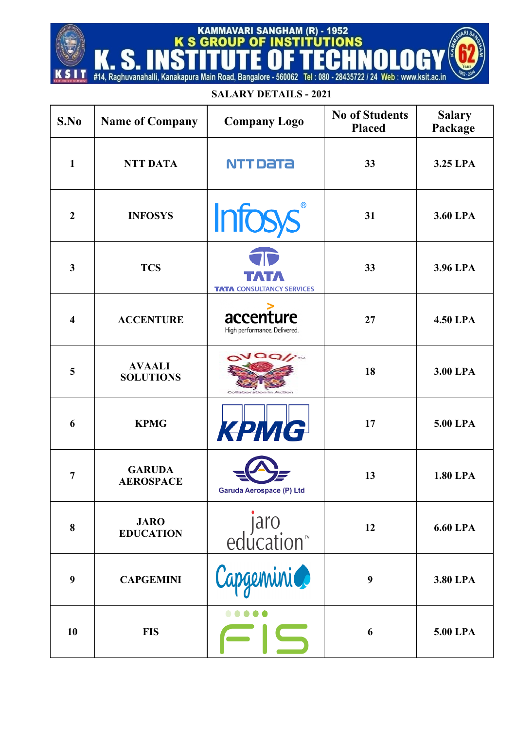## #14, Raghuvanahalli, Kanakapura Main Road, Bangalore - 560062 Tel: 080 - 28435722 / 24 Web: www.ksit.ac.in **SALARY DETAILS - 2021**

T

KAMMAVARI SANGHAM (R) - 1952<br>K S GROUP OF INSTITUTIONS

| S.No                    | <b>Name of Company</b>            | <b>Company Logo</b>                       | <b>No of Students</b><br><b>Placed</b> | <b>Salary</b><br>Package |
|-------------------------|-----------------------------------|-------------------------------------------|----------------------------------------|--------------------------|
| $\mathbf{1}$            | <b>NTT DATA</b>                   | NTT Data                                  | 33                                     | 3.25 LPA                 |
| $\overline{2}$          | <b>INFOSYS</b>                    | <b>Infosys</b>                            | 31                                     | 3.60 LPA                 |
| $\overline{\mathbf{3}}$ | <b>TCS</b>                        | <b>TATA CONSULTANCY SERVICES</b>          | 33                                     | 3.96 LPA                 |
| 4                       | <b>ACCENTURE</b>                  | accenture<br>High performance. Delivered. | 27                                     | <b>4.50 LPA</b>          |
| 5                       | <b>AVAALI</b><br><b>SOLUTIONS</b> | $\alpha$ Vaq/j                            | 18                                     | 3.00 LPA                 |
| 6                       | <b>KPMG</b>                       | КРМС                                      | 17                                     | 5.00 LPA                 |
| $\overline{7}$          | <b>GARUDA</b><br><b>AEROSPACE</b> | Garuda Aerospace (P) Ltd                  | 13                                     | <b>1.80 LPA</b>          |
| 8                       | <b>JARO</b><br><b>EDUCATION</b>   | <i>jaro</i><br>™education                 | 12                                     | <b>6.60 LPA</b>          |
| 9                       | <b>CAPGEMINI</b>                  | Capgemini                                 | 9                                      | 3.80 LPA                 |
| 10                      | <b>FIS</b>                        | $\overline{\phantom{a}}$                  | 6                                      | 5.00 LPA                 |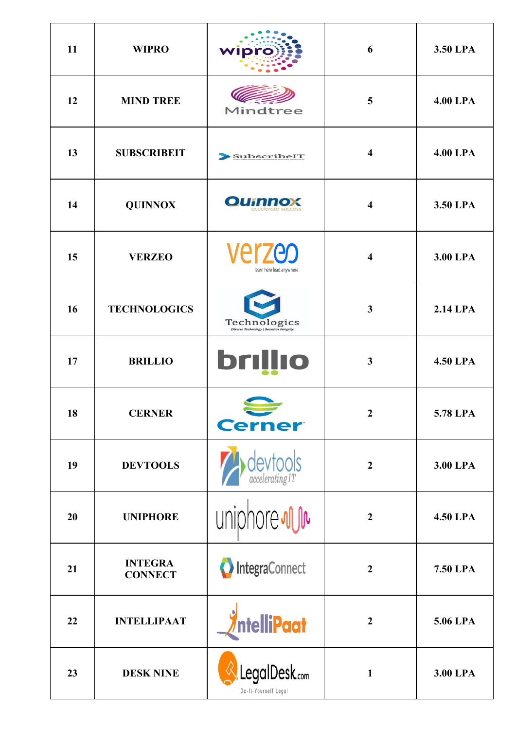| 11 | <b>WIPRO</b>                     | wipro                                                   | 6                       | 3.50 LPA        |
|----|----------------------------------|---------------------------------------------------------|-------------------------|-----------------|
| 12 | <b>MIND TREE</b>                 | Mindtree                                                | 5                       | <b>4.00 LPA</b> |
| 13 | <b>SUBSCRIBEIT</b>               | <b>SubscribeIT</b>                                      | 4                       | <b>4.00 LPA</b> |
| 14 | <b>QUINNOX</b>                   | <b>Ournnox</b>                                          | $\overline{\mathbf{4}}$ | 3.50 LPA        |
| 15 | <b>VERZEO</b>                    | <b>Verzeo</b><br>learn here lead anywhere               | $\overline{\mathbf{4}}$ | 3.00 LPA        |
| 16 | <b>TECHNOLOGICS</b>              | Technologics<br>Diverse Technology   Seamless Integrity | 3                       | <b>2.14 LPA</b> |
| 17 | <b>BRILLIO</b>                   | <b>brillio</b>                                          | $\mathbf{3}$            | <b>4.50 LPA</b> |
| 18 | <b>CERNER</b>                    | <b>Cerner</b>                                           | $\overline{2}$          | 5.78 LPA        |
| 19 | <b>DEVTOOLS</b>                  | $\det_{\mathit{accelerating IT}}$                       | $\overline{2}$          | 3.00 LPA        |
| 20 | <b>UNIPHORE</b>                  | uniphore <i>ww</i>                                      | $\overline{2}$          | <b>4.50 LPA</b> |
| 21 | <b>INTEGRA</b><br><b>CONNECT</b> | <b>O</b> IntegraConnect                                 | $\overline{2}$          | <b>7.50 LPA</b> |
| 22 | <b>INTELLIPAAT</b>               | <i><b>AntelliPaat</b></i>                               | $\overline{2}$          | 5.06 LPA        |
| 23 | <b>DESK NINE</b>                 | LegalDesk.com<br>Do-It-Yourself Legal                   | $\mathbf{1}$            | 3.00 LPA        |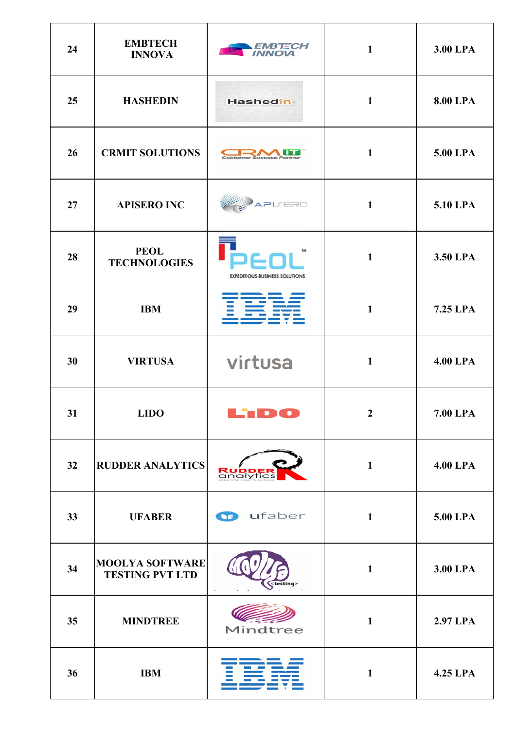| 24 | <b>EMBTECH</b><br><b>INNOVA</b>                  | EMB TECH<br><i><b>INNOVA</b></i>                   | $\mathbf{1}$   | 3.00 LPA        |
|----|--------------------------------------------------|----------------------------------------------------|----------------|-----------------|
| 25 | <b>HASHEDIN</b>                                  | Hashedin                                           | $\mathbf{1}$   | <b>8.00 LPA</b> |
| 26 | <b>CRMIT SOLUTIONS</b>                           | <b>Customer Success F</b>                          | $\mathbf{1}$   | 5.00 LPA        |
| 27 | <b>APISERO INC</b>                               | APLERO                                             | $\mathbf{1}$   | 5.10 LPA        |
| 28 | <b>PEOL</b><br><b>TECHNOLOGIES</b>               | <b>TM</b><br><b>EXPEDITIOUS BUSINESS SOLUTIONS</b> | $\mathbf{1}$   | 3.50 LPA        |
| 29 | <b>IBM</b>                                       |                                                    | $\mathbf{1}$   | 7.25 LPA        |
| 30 | <b>VIRTUSA</b>                                   | virtusa                                            | $\mathbf{1}$   | <b>4.00 LPA</b> |
| 31 | <b>LIDO</b>                                      | ъ.                                                 | $\overline{2}$ | 7.00 LPA        |
| 32 | <b>RUDDER ANALYTICS</b>                          | <b>RUDDER</b><br>analytics                         | $\mathbf{1}$   | <b>4.00 LPA</b> |
| 33 | <b>UFABER</b>                                    | ufaber<br>$\mathbf{G}$                             | $\mathbf{1}$   | 5.00 LPA        |
| 34 | <b>MOOLYA SOFTWARE</b><br><b>TESTING PVT LTD</b> | <testing></testing>                                | $\mathbf{1}$   | 3.00 LPA        |
| 35 | <b>MINDTREE</b>                                  | Mindtree                                           | $\mathbf{1}$   | <b>2.97 LPA</b> |
| 36 | <b>IBM</b>                                       |                                                    | $\mathbf{1}$   | 4.25 LPA        |